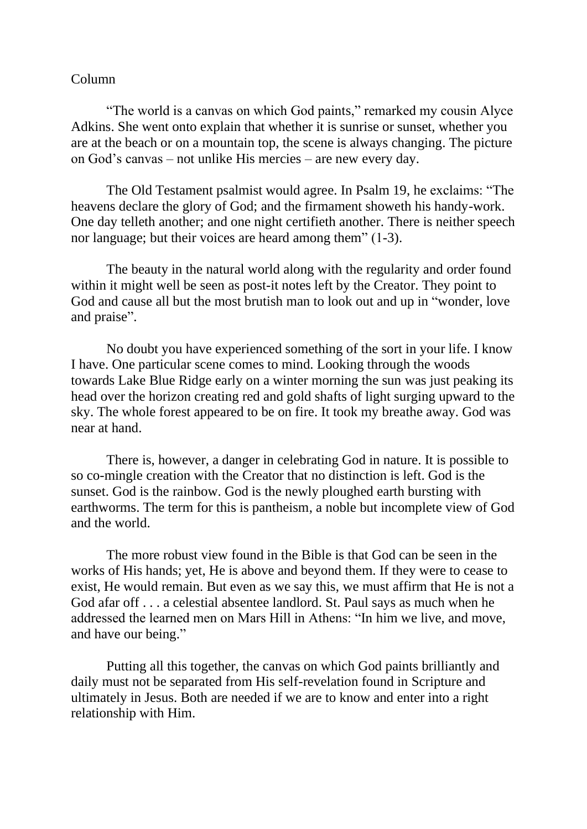## Column

"The world is a canvas on which God paints," remarked my cousin Alyce Adkins. She went onto explain that whether it is sunrise or sunset, whether you are at the beach or on a mountain top, the scene is always changing. The picture on God's canvas – not unlike His mercies – are new every day.

The Old Testament psalmist would agree. In Psalm 19, he exclaims: "The heavens declare the glory of God; and the firmament showeth his handy-work. One day telleth another; and one night certifieth another. There is neither speech nor language; but their voices are heard among them" (1-3).

The beauty in the natural world along with the regularity and order found within it might well be seen as post-it notes left by the Creator. They point to God and cause all but the most brutish man to look out and up in "wonder, love and praise".

No doubt you have experienced something of the sort in your life. I know I have. One particular scene comes to mind. Looking through the woods towards Lake Blue Ridge early on a winter morning the sun was just peaking its head over the horizon creating red and gold shafts of light surging upward to the sky. The whole forest appeared to be on fire. It took my breathe away. God was near at hand.

There is, however, a danger in celebrating God in nature. It is possible to so co-mingle creation with the Creator that no distinction is left. God is the sunset. God is the rainbow. God is the newly ploughed earth bursting with earthworms. The term for this is pantheism, a noble but incomplete view of God and the world.

The more robust view found in the Bible is that God can be seen in the works of His hands; yet, He is above and beyond them. If they were to cease to exist, He would remain. But even as we say this, we must affirm that He is not a God afar off . . . a celestial absentee landlord. St. Paul says as much when he addressed the learned men on Mars Hill in Athens: "In him we live, and move, and have our being."

Putting all this together, the canvas on which God paints brilliantly and daily must not be separated from His self-revelation found in Scripture and ultimately in Jesus. Both are needed if we are to know and enter into a right relationship with Him.